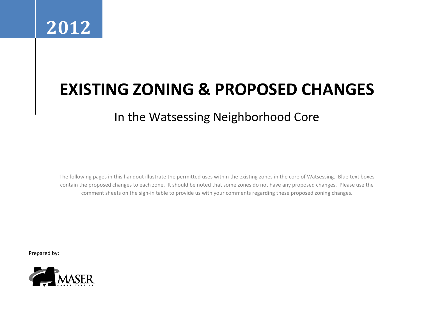

# **EXISTING ZONING & PROPOSED CHANGES**

# In the Watsessing Neighborhood Core

The following pages in this handout illustrate the permitted uses within the existing zones in the core of Watsessing. Blue text boxes contain the proposed changes to each zone. It should be noted that some zones do not have any proposed changes. Please use the comment sheets on the sign-in table to provide us with your comments regarding these proposed zoning changes.

Prepared by:

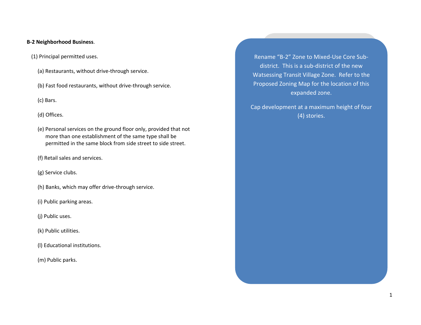#### **B-2 Neighborhood Business**.

- [\(1\)](http://www.ecode360.com/12002041?highlight=zoning,zoned,zones,zone#12002123) Principal permitted uses.
	- [\(a\)](http://www.ecode360.com/12002041?highlight=zoning,zoned,zones,zone#12002124) Restaurants, without drive-through service.
	- [\(b\)](http://www.ecode360.com/12002041?highlight=zoning,zoned,zones,zone#12002125) Fast food restaurants, without drive-through service.
	- [\(c\)](http://www.ecode360.com/12002041?highlight=zoning,zoned,zones,zone#12002126) Bars.

[\(d\)](http://www.ecode360.com/12002041?highlight=zoning,zoned,zones,zone#12002127) Offices.

- [\(e\)](http://www.ecode360.com/12002041?highlight=zoning,zoned,zones,zone#12002128) Personal services on the ground floor only, provided that not more than one establishment of the same type shall be permitted in the same block from side street to side street.
- [\(f\)](http://www.ecode360.com/12002041?highlight=zoning,zoned,zones,zone#12002129) Retail sales and services.
- [\(g\)](http://www.ecode360.com/12002041?highlight=zoning,zoned,zones,zone#12002130) Service clubs.
- [\(h\)](http://www.ecode360.com/12002041?highlight=zoning,zoned,zones,zone#12002131) Banks, which may offer drive-through service.
- [\(i\)](http://www.ecode360.com/12002041?highlight=zoning,zoned,zones,zone#12002132) Public parking areas.
- [\(j\)](http://www.ecode360.com/12002041?highlight=zoning,zoned,zones,zone#12002133) Public uses.
- [\(k\)](http://www.ecode360.com/12002041?highlight=zoning,zoned,zones,zone#12002134) Public utilities.
- [\(l\)](http://www.ecode360.com/12002041?highlight=zoning,zoned,zones,zone#12002135) Educational institutions.
- [\(m\)](http://www.ecode360.com/12002041?highlight=zoning,zoned,zones,zone#12002136) Public parks.

Rename "B-2" Zone to Mixed-Use Core Subdistrict. This is a sub-district of the new Watsessing Transit Village Zone. Refer to the Proposed Zoning Map for the location of this expanded zone.

Cap development at a maximum height of four (4) stories.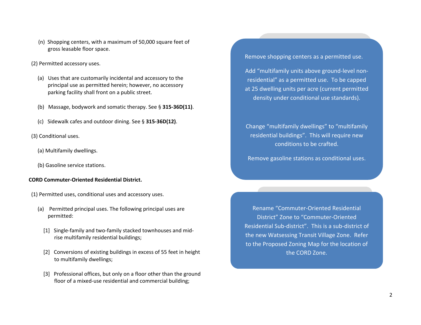- [\(n\)](http://www.ecode360.com/12002041?highlight=zoning,zoned,zones,zone#12002137) Shopping centers, with a maximum of 50,000 square feet of gross leasable floor space.
- [\(2\)](http://www.ecode360.com/12002041?highlight=r-1b%20zones,zoning,zoned,zones,r-1b,zone#12002138) Permitted accessory uses.
	- [\(a\)](http://www.ecode360.com/12002041?highlight=r-1b%20zones,zoning,zoned,zones,r-1b,zone#12002139) Uses that are customarily incidental and accessory to the principal use as permitted herein; however, no accessory parking facility shall front on a public street.
	- [\(b\)](http://www.ecode360.com/12002041?highlight=r-1b%20zones,zoning,zoned,zones,r-1b,zone#12002140) Massage, bodywork and somatic therapy. See § **[315-36D\(11\)](http://www.ecode360.com/12002041?highlight=r-1b%20zones,zoning,zoned,zones,r-1b,zone#12002004)**.
	- [\(c\)](http://www.ecode360.com/12002041?highlight=r-1b%20zones,zoning,zoned,zones,r-1b,zone#12002141) Sidewalk cafes and outdoor dining. See § **[315-36D\(12\)](http://www.ecode360.com/12002041?highlight=r-1b%20zones,zoning,zoned,zones,r-1b,zone#12002017)**.
- [\(3\)](http://www.ecode360.com/12002041?highlight=r-1b%20zones,zoning,zoned,zones,r-1b,zone#12002142) Conditional uses.
	- [\(a\)](http://www.ecode360.com/12002041?highlight=r-1b%20zones,zoning,zoned,zones,r-1b,zone#12002143) Multifamily dwellings.
	- [\(b\)](http://www.ecode360.com/12002041?highlight=r-1b%20zones,zoning,zoned,zones,r-1b,zone#12002144) Gasoline service stations.

#### **CORD Commuter-Oriented Residential District.**

- [\(1\)](http://www.ecode360.com/12002041?highlight=zoning,zoned,zones,zone#12002169) Permitted uses, conditional uses and accessory uses.
	- [\(a\)](http://www.ecode360.com/12002041?highlight=zoning,zoned,zones,zone#12002179) Permitted principal uses. The following principal uses are permitted:
		- [\[1\]](http://www.ecode360.com/12002041?highlight=zoning,zoned,zones,zone#12002180) Single-family and two-family stacked townhouses and midrise multifamily residential buildings;
		- [\[2\]](http://www.ecode360.com/12002041?highlight=zoning,zoned,zones,zone#12002181) Conversions of existing buildings in excess of 55 feet in height to multifamily dwellings;
		- [\[3\]](http://www.ecode360.com/12002041?highlight=zoning,zoned,zones,zone#12002182) Professional offices, but only on a floor other than the ground floor of a mixed-use residential and commercial building;

Remove shopping centers as a permitted use.

Add "multifamily units above ground-level nonresidential" as a permitted use. To be capped at 25 dwelling units per acre (current permitted density under conditional use standards).

Change "multifamily dwellings" to "multifamily residential buildings". This will require new conditions to be crafted.

Remove gasoline stations as conditional uses.

Rename "Commuter-Oriented Residential District" Zone to "Commuter-Oriented Residential Sub-district". This is a sub-district of the new Watsessing Transit Village Zone. Refer to the Proposed Zoning Map for the location of the CORD Zone.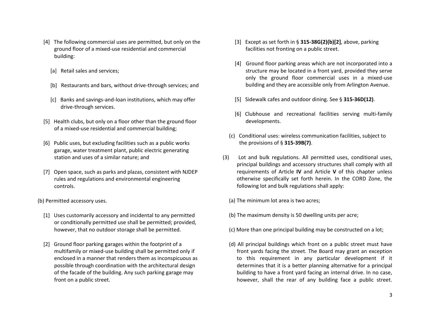- [\[4\]](http://www.ecode360.com/12002041?highlight=zoning,zoned,zones,zone#12002187) The following commercial uses are permitted, but only on the ground floor of a mixed-use residential and commercial building:
	- [\[a\]](http://www.ecode360.com/12002041?highlight=zoning,zoned,zones,zone#13997082) Retail sales and services;
	- [\[b\]](http://www.ecode360.com/12002041?highlight=zoning,zoned,zones,zone#13997083) Restaurants and bars, without drive-through services; and
	- [\[c\]](http://www.ecode360.com/12002041?highlight=zoning,zoned,zones,zone#13997084) Banks and savings-and-loan institutions, which may offer drive-through services.
- [\[5\]](http://www.ecode360.com/12002041?highlight=zoning,zoned,zones,zone#12002188) Health clubs, but only on a floor other than the ground floor of a mixed-use residential and commercial building;
- [\[6\]](http://www.ecode360.com/12002041?highlight=zoning,zoned,zones,zone#12002189) Public uses, but excluding facilities such as a public works garage, water treatment plant, public electric generating station and uses of a similar nature; and
- [\[7\]](http://www.ecode360.com/12002041?highlight=zoning,zoned,zones,zone#13997085) Open space, such as parks and plazas, consistent with NJDEP rules and regulations and environmental engineering controls.
- [\(b\)](http://www.ecode360.com/12002041?highlight=r-1b%20zones,zoning,zoned,zones,r-1b,zone#12002190) Permitted accessory uses.
	- [\[1\]](http://www.ecode360.com/12002041?highlight=r-1b%20zones,zoning,zoned,zones,r-1b,zone#12002191) Uses customarily accessory and incidental to any permitted or conditionally permitted use shall be permitted; provided, however, that no outdoor storage shall be permitted.
	- [\[2\]](http://www.ecode360.com/12002041?highlight=r-1b%20zones,zoning,zoned,zones,r-1b,zone#12002192) Ground floor parking garages within the footprint of a multifamily or mixed-use building shall be permitted only if enclosed in a manner that renders them as inconspicuous as possible through coordination with the architectural design of the facade of the building. Any such parking garage may front on a public street.
- [\[3\]](http://www.ecode360.com/12002041?highlight=r-1b%20zones,zoning,zoned,zones,r-1b,zone#12002193) Except as set forth in § **[315-38G\(2\)\(b\)\[2\]](http://www.ecode360.com/12002041?highlight=r-1b%20zones,zoning,zoned,zones,r-1b,zone#12002192)**, above, parking facilities not fronting on a public street.
- [\[4\]](http://www.ecode360.com/12002041?highlight=r-1b%20zones,zoning,zoned,zones,r-1b,zone#12002194) Ground floor parking areas which are not incorporated into a structure may be located in a front yard, provided they serve only the ground floor commercial uses in a mixed-use building and they are accessible only from Arlington Avenue.
- [\[5\]](http://www.ecode360.com/12002041?highlight=r-1b%20zones,zoning,zoned,zones,r-1b,zone#13997086) Sidewalk cafes and outdoor dining. See § **[315-36D\(12\)](http://www.ecode360.com/12002041?highlight=r-1b%20zones,zoning,zoned,zones,r-1b,zone#12002017)**.
- [\[6\]](http://www.ecode360.com/12002041?highlight=r-1b%20zones,zoning,zoned,zones,r-1b,zone#13997087) Clubhouse and recreational facilities serving multi-family developments.
- [\(c\)](http://www.ecode360.com/12002041?highlight=r-1b%20zones,zoning,zoned,zones,r-1b,zone#12002195) Conditional uses: wireless communication facilities, subject to the provisions of § **[315-39B\(7\)](http://www.ecode360.com/12002041?highlight=r-1b%20zones,zoning,zoned,zones,r-1b,zone#12002454)**.
- [\(3\)](http://www.ecode360.com/12002041?highlight=r-1b%20zones,zoning,zoned,zones,r-1b,zone#12002196) Lot and bulk regulations. All permitted uses, conditional uses, principal buildings and accessory structures shall comply with all requirements of Article **[IV](http://www.ecode360.com/12001593#12001593)** and Article **[V](http://www.ecode360.com/12002041?highlight=r-1b%20zones,zoning,zoned,zones,r-1b,zone#12001864)** of this chapter unless otherwise specifically set forth herein. In the CORD Zone, the following lot and bulk regulations shall apply:
	- [\(a\)](http://www.ecode360.com/12002041?highlight=r-1b%20zones,zoning,zoned,zones,r-1b,zone#12002197) The minimum lot area is two acres;
	- [\(b\)](http://www.ecode360.com/12002041?highlight=r-1b%20zones,zoning,zoned,zones,r-1b,zone#12002198) The maximum density is 50 dwelling units per acre;
	- [\(c\)](http://www.ecode360.com/12002041?highlight=r-1b%20zones,zoning,zoned,zones,r-1b,zone#12002199) More than one principal building may be constructed on a lot;
	- [\(d\)](http://www.ecode360.com/12002041?highlight=r-1b%20zones,zoning,zoned,zones,r-1b,zone#12002200) All principal buildings which front on a public street must have front yards facing the street. The Board may grant an exception to this requirement in any particular development if it determines that it is a better planning alternative for a principal building to have a front yard facing an internal drive. In no case, however, shall the rear of any building face a public street.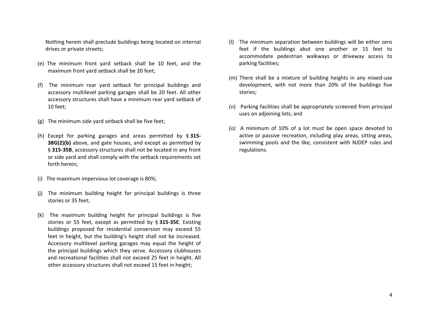Nothing herein shall preclude buildings being located on internal drives or private streets;

- [\(e\)](http://www.ecode360.com/12002041?highlight=r-1b%20zones,zoning,zoned,zones,r-1b,zone#12002201) The minimum front yard setback shall be 10 feet, and the maximum front yard setback shall be 20 feet;
- [\(f\)](http://www.ecode360.com/12002041?highlight=r-1b%20zones,zoning,zoned,zones,r-1b,zone#12002202) The minimum rear yard setback for principal buildings and accessory multilevel parking garages shall be 20 feet. All other accessory structures shall have a minimum rear yard setback of 10 feet;
- [\(g\)](http://www.ecode360.com/12002041?highlight=r-1b%20zones,zoning,zoned,zones,r-1b,zone#12002203) The minimum side yard setback shall be five feet;
- [\(h\)](http://www.ecode360.com/12002041?highlight=r-1b%20zones,zoning,zoned,zones,r-1b,zone#12002204) Except for parking garages and areas permitted by § **[315-](http://www.ecode360.com/12002041?highlight=r-1b%20zones,zoning,zoned,zones,r-1b,zone#12002190) [38G\(2\)\(b\)](http://www.ecode360.com/12002041?highlight=r-1b%20zones,zoning,zoned,zones,r-1b,zone#12002190)** above, and gate houses, and except as permitted by § **[315-35B](http://www.ecode360.com/12002041?highlight=r-1b%20zones,zoning,zoned,zones,r-1b,zone#12001908)**, accessory structures shall not be located in any front or side yard and shall comply with the setback requirements set forth herein;
- [\(i\)](http://www.ecode360.com/12002041?highlight=r-1b%20zones,zoning,zoned,zones,r-1b,zone#12002205) The maximum impervious lot coverage is 80%;
- [\(j\)](http://www.ecode360.com/12002041?highlight=r-1b%20zones,zoning,zoned,zones,r-1b,zone#12002206) The minimum building height for principal buildings is three stories or 35 feet;
- [\(k\)](http://www.ecode360.com/12002041?highlight=r-1b%20zones,zoning,zoned,zones,r-1b,zone#12002207) The maximum building height for principal buildings is five stories or 55 feet, except as permitted by § **[315-35E](http://www.ecode360.com/12002041?highlight=r-1b%20zones,zoning,zoned,zones,r-1b,zone#12001932)**. Existing buildings proposed for residential conversion may exceed 55 feet in height, but the building's height shall not be increased. Accessory multilevel parking garages may equal the height of the principal buildings which they serve. Accessory clubhouses and recreational facilities shall not exceed 25 feet in height. All other accessory structures shall not exceed 15 feet in height;
- [\(l\)](http://www.ecode360.com/12002041?highlight=r-1b%20zones,zoning,zoned,zones,r-1b,zone#12002208) The minimum separation between buildings will be either zero feet if the buildings abut one another or 15 feet to accommodate pedestrian walkways or driveway access to parking facilities;
- [\(m\)](http://www.ecode360.com/12002041?highlight=r-1b%20zones,zoning,zoned,zones,r-1b,zone#12002209) There shall be a mixture of building heights in any mixed-use development, with not more than 20% of the buildings five stories;
- [\(n\)](http://www.ecode360.com/12002041?highlight=r-1b%20zones,zoning,zoned,zones,r-1b,zone#12002210) Parking facilities shall be appropriately screened from principal uses on adjoining lots; and
- [\(o\)](http://www.ecode360.com/12002041?highlight=r-1b%20zones,zoning,zoned,zones,r-1b,zone#12002211) A minimum of 10% of a lot must be open space devoted to active or passive recreation, including play areas, sitting areas, swimming pools and the like, consistent with NJDEP rules and regulations.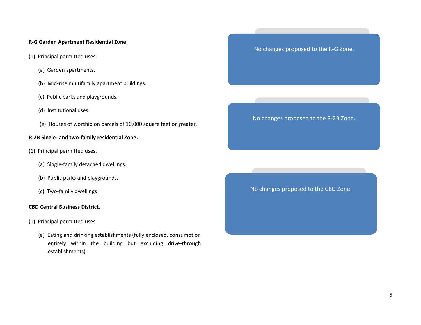#### **R-G Garden Apartment Residential Zone.**

- [\(1\)](http://www.ecode360.com/12002054#12002054) Principal permitted uses.
	- [\(a\)](http://www.ecode360.com/12002055#12002055) Garden apartments.
	- [\(b\)](http://www.ecode360.com/12002056#12002056) Mid-rise multifamily apartment buildings.
	- [\(c\)](http://www.ecode360.com/12002057#12002057) Public parks and playgrounds.
	- [\(d\)](http://www.ecode360.com/12002058#12002058) Institutional uses.
	- [\(e\)](http://www.ecode360.com/12002059#12002059) Houses of worship on parcels of 10,000 square feet or greater.

### **R-2B Single- and two-family residential Zone.**

- [\(1\)](http://www.ecode360.com/12002044#12002044) Principal permitted uses.
	- [\(a\)](http://www.ecode360.com/12002045#12002045) Single-family detached dwellings.
	- [\(b\)](http://www.ecode360.com/12002046#12002046) Public parks and playgrounds.
	- [\(c\)](http://www.ecode360.com/12002047#12002047) Two-family dwellings

#### **CBD Central Business District.**

- [\(1\)](http://www.ecode360.com/12002146#12002146) Principal permitted uses.
	- [\(a\)](http://www.ecode360.com/12002147#12002147) Eating and drinking establishments (fully enclosed, consumption entirely within the building but excluding drive-through establishments).

No changes proposed to the R-G Zone.

No changes proposed to the R-2B Zone.

No changes proposed to the CBD Zone.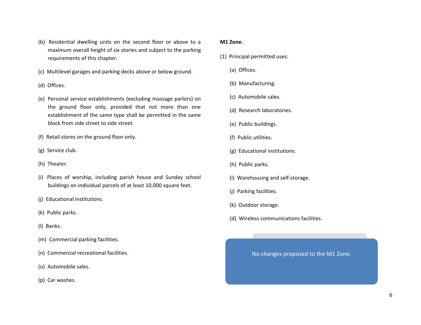- [\(b\)](http://www.ecode360.com/12002148#12002148) Residential dwelling units on the second floor or above to a maximum overall height of six stories and subject to the parking requirements of this chapter.
- [\(c\)](http://www.ecode360.com/12002149#12002149) Multilevel garages and parking decks above or below ground.
- [\(d\)](http://www.ecode360.com/12002150#12002150) Offices.
- [\(e\)](http://www.ecode360.com/12002151#12002151) Personal service establishments (excluding massage parlors) on the ground floor only, provided that not more than one establishment of the same type shall be permitted in the same block from side street to side street.
- [\(f\)](http://www.ecode360.com/12002152#12002152) Retail stores on the ground floor only.
- [\(g\)](http://www.ecode360.com/12002153#12002153) Service club.
- [\(h\)](http://www.ecode360.com/12002154#12002154) Theater.
- [\(i\)](http://www.ecode360.com/12002155#12002155) Places of worship, including parish house and Sunday school buildings on individual parcels of at least 10,000 square feet.
- [\(j\)](http://www.ecode360.com/12002156#12002156) Educational institutions.
- [\(k\)](http://www.ecode360.com/12002157#12002157) Public parks.
- [\(l\)](http://www.ecode360.com/12002158#12002158) Banks.
- [\(m\)](http://www.ecode360.com/12002159#12002159) Commercial parking facilities.
- [\(n\)](http://www.ecode360.com/12002160#12002160) Commercial recreational facilities.
- [\(o\)](http://www.ecode360.com/12002161#12002161) Automobile sales.
- [\(p\)](http://www.ecode360.com/12002162#12002162) Car washes.

#### **M1 Zone.**

- [\(1\)](http://www.ecode360.com/12002270#12002270) Principal permitted uses:
	- [\(a\)](http://www.ecode360.com/12002271#12002271) Offices.
	- [\(b\)](http://www.ecode360.com/12002272#12002272) Manufacturing.
	- [\(c\)](http://www.ecode360.com/12002273#12002273) Automobile sales.
	- [\(d\)](http://www.ecode360.com/12002274#12002274) Research laboratories.
	- [\(e\)](http://www.ecode360.com/12002275#12002275) Public buildings.
	- [\(f\)](http://www.ecode360.com/12002276#12002276) Public utilities.
	- [\(g\)](http://www.ecode360.com/12002277#12002277) Educational institutions.
	- [\(h\)](http://www.ecode360.com/12002278#12002278) Public parks.
	- [\(i\)](http://www.ecode360.com/12002279#12002279) Warehousing and self-storage.
	- [\(j\)](http://www.ecode360.com/12002280#12002280) Parking facilities.
	- [\(k\)](http://www.ecode360.com/12002281#12002281) Outdoor storage.
	- [\(d\)](http://www.ecode360.com/12002288#12002288) Wireless communications facilities.

No changes proposed to the M1 Zone.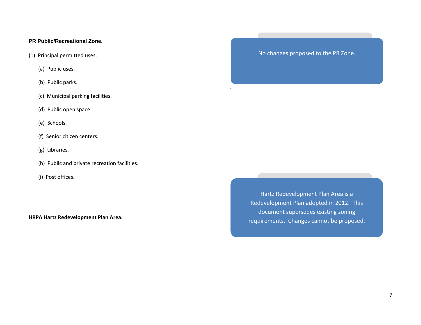## **PR Public/Recreational Zone.**

- [\(1\)](http://www.ecode360.com/12002344#12002344) Principal permitted uses.
	- [\(a\)](http://www.ecode360.com/12002345#12002345) Public uses.
	- [\(b\)](http://www.ecode360.com/12002346#12002346) Public parks.
	- [\(c\)](http://www.ecode360.com/12002347#12002347) Municipal parking facilities.
	- [\(d\)](http://www.ecode360.com/12002348#12002348) Public open space.
	- [\(e\)](http://www.ecode360.com/12002349#12002349) Schools.
	- [\(f\)](http://www.ecode360.com/12002350#12002350) Senior citizen centers.
	- [\(g\)](http://www.ecode360.com/12002351#12002351) Libraries.
	- [\(h\)](http://www.ecode360.com/12002352#12002352) Public and private recreation facilities.
	- [\(i\)](http://www.ecode360.com/12002353#12002353) Post offices.

**HRPA Hartz Redevelopment Plan Area.**

No changes proposed to the PR Zone.

.

Hartz Redevelopment Plan Area is a Redevelopment Plan adopted in 2012. This document supersedes existing zoning requirements. Changes cannot be proposed.